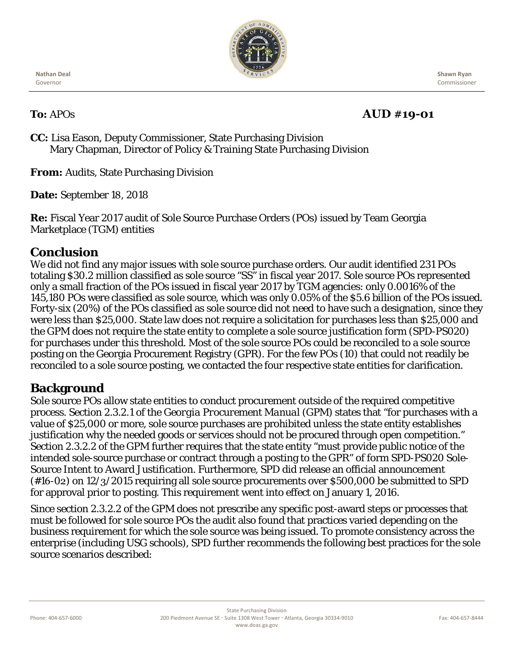

**Nathan Deal** Governor

 **Shawn Ryan** Commissioner

## **To:** APOs **AUD #19-01**

**CC:** Lisa Eason, Deputy Commissioner, State Purchasing Division Mary Chapman, Director of Policy & Training State Purchasing Division

**From:** Audits, State Purchasing Division

**Date:** September 18, 2018

**Re:** Fiscal Year 2017 audit of Sole Source Purchase Orders (POs) issued by Team Georgia Marketplace (TGM) entities

## **Conclusion**

We did not find any major issues with sole source purchase orders. Our audit identified 231 POs totaling \$30.2 million classified as sole source "SS" in fiscal year 2017. Sole source POs represented only a small fraction of the POs issued in fiscal year 2017 by TGM agencies: only 0.0016% of the 145,180 POs were classified as sole source, which was only 0.05% of the \$5.6 billion of the POs issued. Forty-six (20%) of the POs classified as sole source did not need to have such a designation, since they were less than \$25,000. State law does not require a solicitation for purchases less than \$25,000 and the GPM does not require the state entity to complete a sole source justification form (SPD-PS020) for purchases under this threshold. Most of the sole source POs could be reconciled to a sole source posting on the Georgia Procurement Registry (GPR). For the few POs (10) that could not readily be reconciled to a sole source posting, we contacted the four respective state entities for clarification.

## **Background**

Sole source POs allow state entities to conduct procurement outside of the required competitive process. Section 2.3.2.1 of the *Georgia Procurement Manual (GPM)* states that "for purchases with a value of \$25,000 or more, sole source purchases are prohibited unless the state entity establishes justification why the needed goods or services should not be procured through open competition." Section 2.3.2.2 of the *GPM* further requires that the state entity "must provide public notice of the intended sole-source purchase or contract through a posting to the GPR" of form SPD-PS020 Sole-Source Intent to Award Justification. Furthermore, SPD did release an official announcement (#16-02) on 12/3/2015 requiring all sole source procurements over \$500,000 be submitted to SPD for approval prior to posting. This requirement went into effect on January 1, 2016.

Since section 2.3.2.2 of the GPM does not prescribe any specific post-award steps or processes that must be followed for sole source POs the audit also found that practices varied depending on the business requirement for which the sole source was being issued. To promote consistency across the enterprise (including USG schools), SPD further recommends the following best practices for the sole source scenarios described: